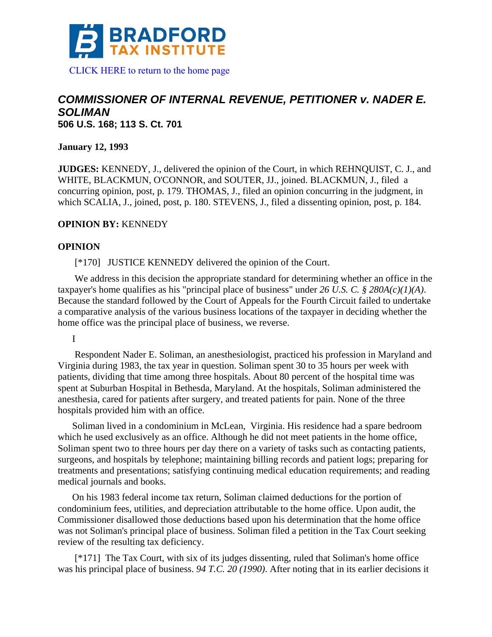

# *COMMISSIONER OF INTERNAL REVENUE, PETITIONER v. NADER E. SOLIMAN*  **506 U.S. 168; 113 S. Ct. 701**

**January 12, 1993** 

**JUDGES:** KENNEDY, J., delivered the opinion of the Court, in which REHNQUIST, C. J., and WHITE, BLACKMUN, O'CONNOR, and SOUTER, JJ., joined. BLACKMUN, J., filed a concurring opinion, post, p. 179. THOMAS, J., filed an opinion concurring in the judgment, in which SCALIA, J., joined, post, p. 180. STEVENS, J., filed a dissenting opinion, post, p. 184.

### **OPINION BY:** KENNEDY

#### **OPINION**

[\*170] JUSTICE KENNEDY delivered the opinion of the Court.

 We address in this decision the appropriate standard for determining whether an office in the taxpayer's home qualifies as his "principal place of business" under *26 U.S. C. § 280A(c)(1)(A)*. Because the standard followed by the Court of Appeals for the Fourth Circuit failed to undertake a comparative analysis of the various business locations of the taxpayer in deciding whether the home office was the principal place of business, we reverse.

I

 Respondent Nader E. Soliman, an anesthesiologist, practiced his profession in Maryland and Virginia during 1983, the tax year in question. Soliman spent 30 to 35 hours per week with patients, dividing that time among three hospitals. About 80 percent of the hospital time was spent at Suburban Hospital in Bethesda, Maryland. At the hospitals, Soliman administered the anesthesia, cared for patients after surgery, and treated patients for pain. None of the three hospitals provided him with an office.

Soliman lived in a condominium in McLean, Virginia. His residence had a spare bedroom which he used exclusively as an office. Although he did not meet patients in the home office, Soliman spent two to three hours per day there on a variety of tasks such as contacting patients, surgeons, and hospitals by telephone; maintaining billing records and patient logs; preparing for treatments and presentations; satisfying continuing medical education requirements; and reading medical journals and books.

On his 1983 federal income tax return, Soliman claimed deductions for the portion of condominium fees, utilities, and depreciation attributable to the home office. Upon audit, the Commissioner disallowed those deductions based upon his determination that the home office was not Soliman's principal place of business. Soliman filed a petition in the Tax Court seeking review of the resulting tax deficiency.

 [\*171] The Tax Court, with six of its judges dissenting, ruled that Soliman's home office was his principal place of business. *94 T.C. 20 (1990)*. After noting that in its earlier decisions it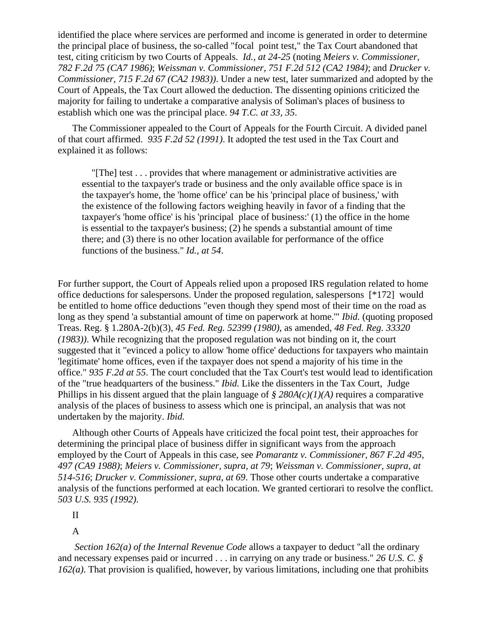identified the place where services are performed and income is generated in order to determine the principal place of business, the so-called "focal point test," the Tax Court abandoned that test, citing criticism by two Courts of Appeals. *Id., at 24-25* (noting *Meiers v. Commissioner, 782 F.2d 75 (CA7 1986)*; *Weissman v. Commissioner, 751 F.2d 512 (CA2 1984)*; and *Drucker v. Commissioner, 715 F.2d 67 (CA2 1983))*. Under a new test, later summarized and adopted by the Court of Appeals, the Tax Court allowed the deduction. The dissenting opinions criticized the majority for failing to undertake a comparative analysis of Soliman's places of business to establish which one was the principal place. *94 T.C. at 33, 35*.

The Commissioner appealed to the Court of Appeals for the Fourth Circuit. A divided panel of that court affirmed. *935 F.2d 52 (1991)*. It adopted the test used in the Tax Court and explained it as follows:

 "[The] test . . . provides that where management or administrative activities are essential to the taxpayer's trade or business and the only available office space is in the taxpayer's home, the 'home office' can be his 'principal place of business,' with the existence of the following factors weighing heavily in favor of a finding that the taxpayer's 'home office' is his 'principal place of business:' (1) the office in the home is essential to the taxpayer's business; (2) he spends a substantial amount of time there; and (3) there is no other location available for performance of the office functions of the business." *Id., at 54*.

For further support, the Court of Appeals relied upon a proposed IRS regulation related to home office deductions for salespersons. Under the proposed regulation, salespersons [\*172] would be entitled to home office deductions "even though they spend most of their time on the road as long as they spend 'a substantial amount of time on paperwork at home.'" *Ibid.* (quoting proposed Treas. Reg. § 1.280A-2(b)(3), *45 Fed. Reg. 52399 (1980)*, as amended, *48 Fed. Reg. 33320 (1983))*. While recognizing that the proposed regulation was not binding on it, the court suggested that it "evinced a policy to allow 'home office' deductions for taxpayers who maintain 'legitimate' home offices, even if the taxpayer does not spend a majority of his time in the office." *935 F.2d at 55*. The court concluded that the Tax Court's test would lead to identification of the "true headquarters of the business." *Ibid.* Like the dissenters in the Tax Court, Judge Phillips in his dissent argued that the plain language of *§ 280A(c)(1)(A)* requires a comparative analysis of the places of business to assess which one is principal, an analysis that was not undertaken by the majority. *Ibid.*

Although other Courts of Appeals have criticized the focal point test, their approaches for determining the principal place of business differ in significant ways from the approach employed by the Court of Appeals in this case, see *Pomarantz v. Commissioner, 867 F.2d 495, 497 (CA9 1988)*; *Meiers v. Commissioner, supra, at 79*; *Weissman v. Commissioner, supra, at 514-516*; *Drucker v. Commissioner, supra, at 69*. Those other courts undertake a comparative analysis of the functions performed at each location. We granted certiorari to resolve the conflict. *503 U.S. 935 (1992)*.

II

A

*Section 162(a) of the Internal Revenue Code* allows a taxpayer to deduct "all the ordinary and necessary expenses paid or incurred . . . in carrying on any trade or business." *26 U.S. C. § 162(a)*. That provision is qualified, however, by various limitations, including one that prohibits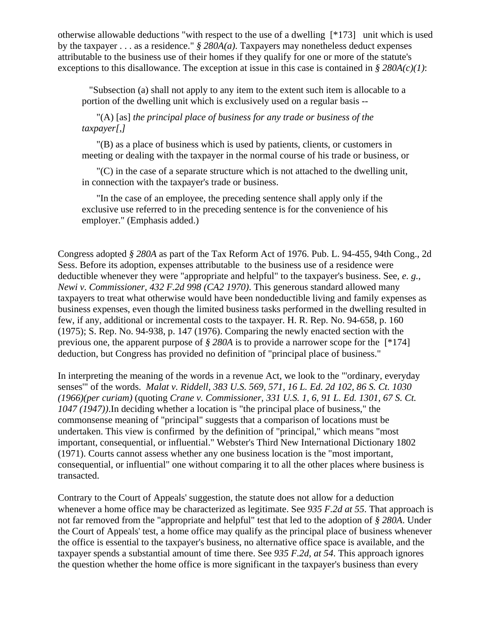otherwise allowable deductions "with respect to the use of a dwelling [\*173] unit which is used by the taxpayer . . . as a residence." *§ 280A(a)*. Taxpayers may nonetheless deduct expenses attributable to the business use of their homes if they qualify for one or more of the statute's exceptions to this disallowance. The exception at issue in this case is contained in *§ 280A(c)(1)*:

 "Subsection (a) shall not apply to any item to the extent such item is allocable to a portion of the dwelling unit which is exclusively used on a regular basis --

"(A) [as] *the principal place of business for any trade or business of the taxpayer[,]*

"(B) as a place of business which is used by patients, clients, or customers in meeting or dealing with the taxpayer in the normal course of his trade or business, or

"(C) in the case of a separate structure which is not attached to the dwelling unit, in connection with the taxpayer's trade or business.

"In the case of an employee, the preceding sentence shall apply only if the exclusive use referred to in the preceding sentence is for the convenience of his employer." (Emphasis added.)

Congress adopted *§ 280A* as part of the Tax Reform Act of 1976. Pub. L. 94-455, 94th Cong., 2d Sess. Before its adoption, expenses attributable to the business use of a residence were deductible whenever they were "appropriate and helpful" to the taxpayer's business. See, *e. g., Newi v. Commissioner, 432 F.2d 998 (CA2 1970)*. This generous standard allowed many taxpayers to treat what otherwise would have been nondeductible living and family expenses as business expenses, even though the limited business tasks performed in the dwelling resulted in few, if any, additional or incremental costs to the taxpayer. H. R. Rep. No. 94-658, p. 160 (1975); S. Rep. No. 94-938, p. 147 (1976). Comparing the newly enacted section with the previous one, the apparent purpose of *§ 280A* is to provide a narrower scope for the [\*174] deduction, but Congress has provided no definition of "principal place of business."

In interpreting the meaning of the words in a revenue Act, we look to the "'ordinary, everyday senses'" of the words. *Malat v. Riddell, 383 U.S. 569, 571, 16 L. Ed. 2d 102, 86 S. Ct. 1030 (1966)(per curiam)* (quoting *Crane v. Commissioner, 331 U.S. 1, 6, 91 L. Ed. 1301, 67 S. Ct. 1047 (1947))*.In deciding whether a location is "the principal place of business," the commonsense meaning of "principal" suggests that a comparison of locations must be undertaken. This view is confirmed by the definition of "principal," which means "most important, consequential, or influential." Webster's Third New International Dictionary 1802 (1971). Courts cannot assess whether any one business location is the "most important, consequential, or influential" one without comparing it to all the other places where business is transacted.

Contrary to the Court of Appeals' suggestion, the statute does not allow for a deduction whenever a home office may be characterized as legitimate. See *935 F.2d at 55*. That approach is not far removed from the "appropriate and helpful" test that led to the adoption of *§ 280A*. Under the Court of Appeals' test, a home office may qualify as the principal place of business whenever the office is essential to the taxpayer's business, no alternative office space is available, and the taxpayer spends a substantial amount of time there. See *935 F.2d, at 54*. This approach ignores the question whether the home office is more significant in the taxpayer's business than every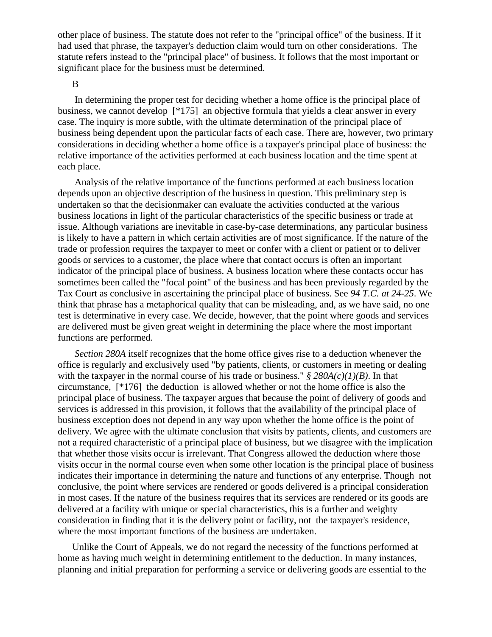other place of business. The statute does not refer to the "principal office" of the business. If it had used that phrase, the taxpayer's deduction claim would turn on other considerations. The statute refers instead to the "principal place" of business. It follows that the most important or significant place for the business must be determined.

#### B

 In determining the proper test for deciding whether a home office is the principal place of business, we cannot develop [\*175] an objective formula that yields a clear answer in every case. The inquiry is more subtle, with the ultimate determination of the principal place of business being dependent upon the particular facts of each case. There are, however, two primary considerations in deciding whether a home office is a taxpayer's principal place of business: the relative importance of the activities performed at each business location and the time spent at each place.

 Analysis of the relative importance of the functions performed at each business location depends upon an objective description of the business in question. This preliminary step is undertaken so that the decisionmaker can evaluate the activities conducted at the various business locations in light of the particular characteristics of the specific business or trade at issue. Although variations are inevitable in case-by-case determinations, any particular business is likely to have a pattern in which certain activities are of most significance. If the nature of the trade or profession requires the taxpayer to meet or confer with a client or patient or to deliver goods or services to a customer, the place where that contact occurs is often an important indicator of the principal place of business. A business location where these contacts occur has sometimes been called the "focal point" of the business and has been previously regarded by the Tax Court as conclusive in ascertaining the principal place of business. See *94 T.C. at 24-25*. We think that phrase has a metaphorical quality that can be misleading, and, as we have said, no one test is determinative in every case. We decide, however, that the point where goods and services are delivered must be given great weight in determining the place where the most important functions are performed.

*Section 280A* itself recognizes that the home office gives rise to a deduction whenever the office is regularly and exclusively used "by patients, clients, or customers in meeting or dealing with the taxpayer in the normal course of his trade or business." *§ 280A(c)(1)(B)*. In that circumstance, [\*176] the deduction is allowed whether or not the home office is also the principal place of business. The taxpayer argues that because the point of delivery of goods and services is addressed in this provision, it follows that the availability of the principal place of business exception does not depend in any way upon whether the home office is the point of delivery. We agree with the ultimate conclusion that visits by patients, clients, and customers are not a required characteristic of a principal place of business, but we disagree with the implication that whether those visits occur is irrelevant. That Congress allowed the deduction where those visits occur in the normal course even when some other location is the principal place of business indicates their importance in determining the nature and functions of any enterprise. Though not conclusive, the point where services are rendered or goods delivered is a principal consideration in most cases. If the nature of the business requires that its services are rendered or its goods are delivered at a facility with unique or special characteristics, this is a further and weighty consideration in finding that it is the delivery point or facility, not the taxpayer's residence, where the most important functions of the business are undertaken.

Unlike the Court of Appeals, we do not regard the necessity of the functions performed at home as having much weight in determining entitlement to the deduction. In many instances, planning and initial preparation for performing a service or delivering goods are essential to the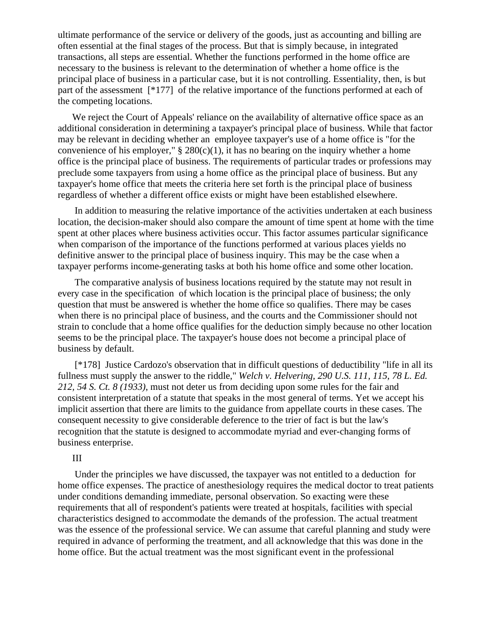ultimate performance of the service or delivery of the goods, just as accounting and billing are often essential at the final stages of the process. But that is simply because, in integrated transactions, all steps are essential. Whether the functions performed in the home office are necessary to the business is relevant to the determination of whether a home office is the principal place of business in a particular case, but it is not controlling. Essentiality, then, is but part of the assessment [\*177] of the relative importance of the functions performed at each of the competing locations.

We reject the Court of Appeals' reliance on the availability of alternative office space as an additional consideration in determining a taxpayer's principal place of business. While that factor may be relevant in deciding whether an employee taxpayer's use of a home office is "for the convenience of his employer,"  $\S 280(c)(1)$ , it has no bearing on the inquiry whether a home office is the principal place of business. The requirements of particular trades or professions may preclude some taxpayers from using a home office as the principal place of business. But any taxpayer's home office that meets the criteria here set forth is the principal place of business regardless of whether a different office exists or might have been established elsewhere.

 In addition to measuring the relative importance of the activities undertaken at each business location, the decision-maker should also compare the amount of time spent at home with the time spent at other places where business activities occur. This factor assumes particular significance when comparison of the importance of the functions performed at various places yields no definitive answer to the principal place of business inquiry. This may be the case when a taxpayer performs income-generating tasks at both his home office and some other location.

 The comparative analysis of business locations required by the statute may not result in every case in the specification of which location is the principal place of business; the only question that must be answered is whether the home office so qualifies. There may be cases when there is no principal place of business, and the courts and the Commissioner should not strain to conclude that a home office qualifies for the deduction simply because no other location seems to be the principal place. The taxpayer's house does not become a principal place of business by default.

 [\*178] Justice Cardozo's observation that in difficult questions of deductibility "life in all its fullness must supply the answer to the riddle," *Welch v. Helvering, 290 U.S. 111, 115, 78 L. Ed. 212, 54 S. Ct. 8 (1933)*, must not deter us from deciding upon some rules for the fair and consistent interpretation of a statute that speaks in the most general of terms. Yet we accept his implicit assertion that there are limits to the guidance from appellate courts in these cases. The consequent necessity to give considerable deference to the trier of fact is but the law's recognition that the statute is designed to accommodate myriad and ever-changing forms of business enterprise.

## III

 Under the principles we have discussed, the taxpayer was not entitled to a deduction for home office expenses. The practice of anesthesiology requires the medical doctor to treat patients under conditions demanding immediate, personal observation. So exacting were these requirements that all of respondent's patients were treated at hospitals, facilities with special characteristics designed to accommodate the demands of the profession. The actual treatment was the essence of the professional service. We can assume that careful planning and study were required in advance of performing the treatment, and all acknowledge that this was done in the home office. But the actual treatment was the most significant event in the professional